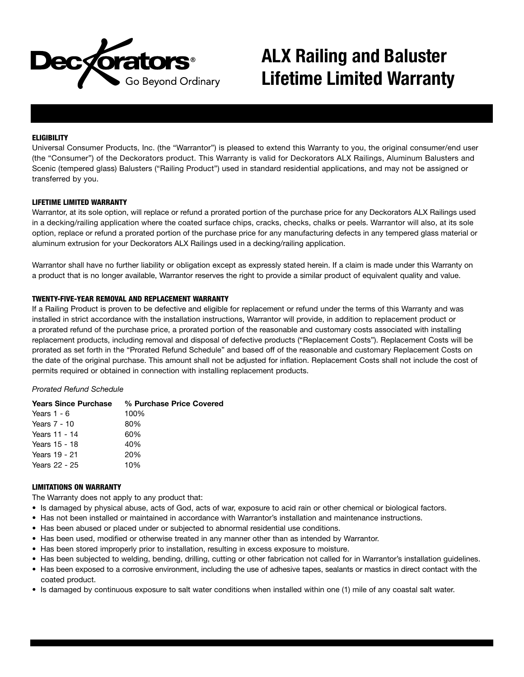

# **ALX Railing and Baluster Lifetime Limited Warranty**

# **ELIGIBILITY**

Universal Consumer Products, Inc. (the "Warrantor") is pleased to extend this Warranty to you, the original consumer/end user (the "Consumer") of the Deckorators product. This Warranty is valid for Deckorators ALX Railings, Aluminum Balusters and Scenic (tempered glass) Balusters ("Railing Product") used in standard residential applications, and may not be assigned or transferred by you.

#### LIFETIME LIMITED WARRANTY

Warrantor, at its sole option, will replace or refund a prorated portion of the purchase price for any Deckorators ALX Railings used in a decking/railing application where the coated surface chips, cracks, checks, chalks or peels. Warrantor will also, at its sole option, replace or refund a prorated portion of the purchase price for any manufacturing defects in any tempered glass material or aluminum extrusion for your Deckorators ALX Railings used in a decking/railing application.

Warrantor shall have no further liability or obligation except as expressly stated herein. If a claim is made under this Warranty on a product that is no longer available, Warrantor reserves the right to provide a similar product of equivalent quality and value.

# TWENTY-FIVE-YEAR REMOVAL AND REPLACEMENT WARRANTY

If a Railing Product is proven to be defective and eligible for replacement or refund under the terms of this Warranty and was installed in strict accordance with the installation instructions, Warrantor will provide, in addition to replacement product or a prorated refund of the purchase price, a prorated portion of the reasonable and customary costs associated with installing replacement products, including removal and disposal of defective products ("Replacement Costs"). Replacement Costs will be prorated as set forth in the "Prorated Refund Schedule" and based off of the reasonable and customary Replacement Costs on the date of the original purchase. This amount shall not be adjusted for inflation. Replacement Costs shall not include the cost of permits required or obtained in connection with installing replacement products.

#### *Prorated Refund Schedule*

|               | <b>Years Since Purchase % Purchase Price Covered</b> |
|---------------|------------------------------------------------------|
| Years $1 - 6$ | 100%                                                 |
| Years 7 - 10  | 80%                                                  |
| Years 11 - 14 | 60%                                                  |
| Years 15 - 18 | 40%                                                  |
| Years 19 - 21 | 20%                                                  |
| Years 22 - 25 | 10%                                                  |
|               |                                                      |

#### LIMITATIONS ON WARRANTY

The Warranty does not apply to any product that:

- Is damaged by physical abuse, acts of God, acts of war, exposure to acid rain or other chemical or biological factors.
- Has not been installed or maintained in accordance with Warrantor's installation and maintenance instructions.
- Has been abused or placed under or subjected to abnormal residential use conditions.
- Has been used, modified or otherwise treated in any manner other than as intended by Warrantor.
- Has been stored improperly prior to installation, resulting in excess exposure to moisture.
- Has been subjected to welding, bending, drilling, cutting or other fabrication not called for in Warrantor's installation guidelines.
- Has been exposed to a corrosive environment, including the use of adhesive tapes, sealants or mastics in direct contact with the coated product.
- Is damaged by continuous exposure to salt water conditions when installed within one (1) mile of any coastal salt water.